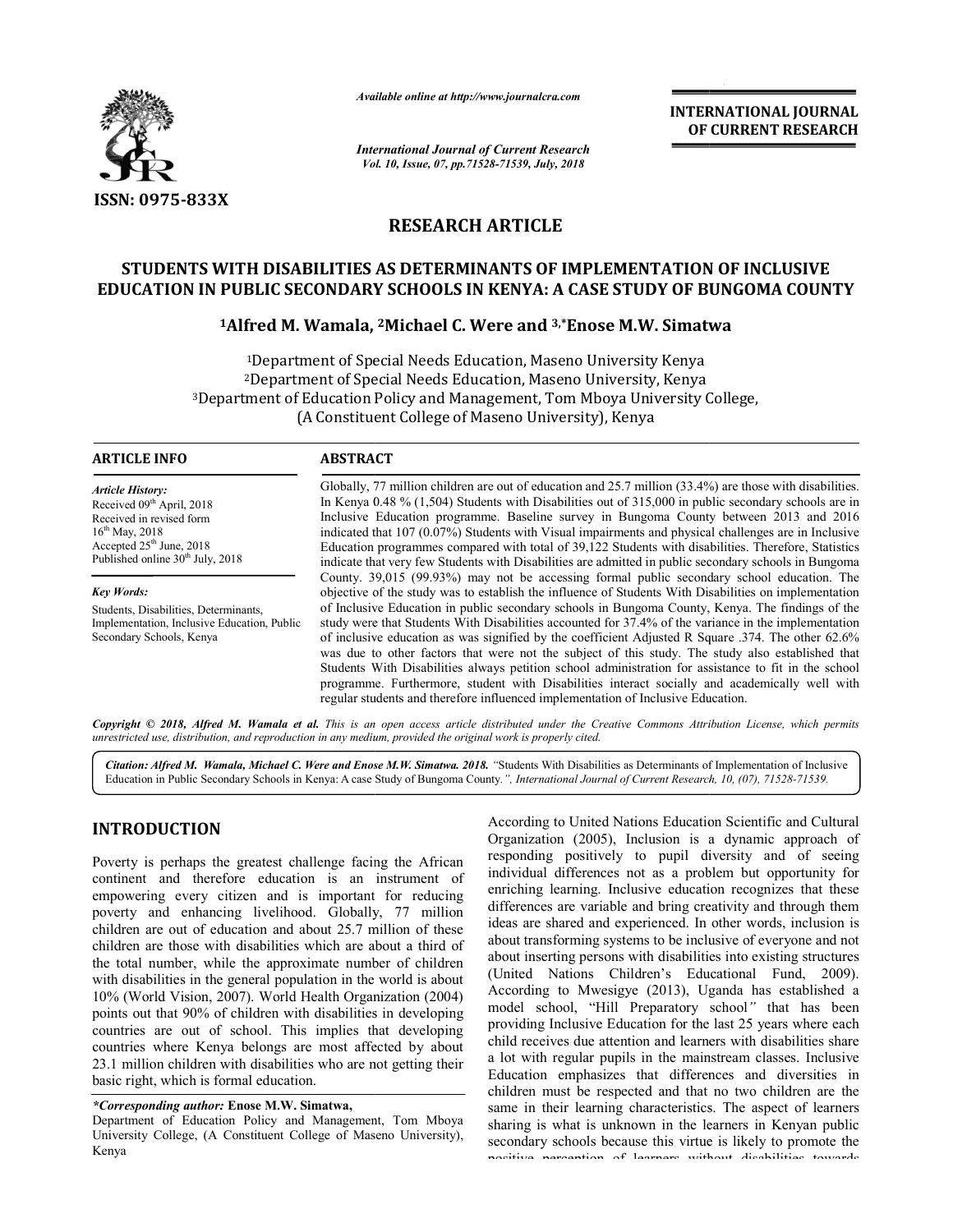

*Available online at http://www.journalcra.com*

*International Journal of Current Research Vol. 10, Issue, 07, Vol. pp.71528-71539, July, 2018*

**INTERNATIONAL JOURNAL OF CURRENT RESEARCH**

# **RESEARCH ARTICLE**

# **STUDENTS WITH DISABILITIES AS DETERMINANTS OF IMPLEMENTATION OF INCLUSIVE EDUCATION IN PUBLIC SECONDARY SCHOOLS IN KENYA: A CASE STUDY OF BUNGOMA COUNTY EDUCATION PUBLIC Alfred 2Michael C. Were and 3,\*Enose M.W. Simatwa**

# **IN PUBLIC SECONDARY SCHOOLS IN KENYA: A CASE S**<br><sup>1</sup>Alfred M. Wamala, <sup>2</sup>Michael C. Were and <sup>3,\*</sup>Enose

1Department of Special Needs Education, Maseno University Kenya 2Department of Special Needs Education, Maseno University, Kenya Kenya <sup>1</sup>Department of Special Needs Education, Maseno University Kenya<br><sup>2</sup>Department of Special Needs Education, Maseno University, Kenya<br><sup>3</sup>Department of Education Policy and Management, Tom Mboya University College, (A Constituent College of Maseno University), Kenya

| <b>ARTICLE INFO</b>                                                                                                                                                                               | <b>ABSTRACT</b>                                                                                                                                                                                                                                                                                                                                                                                                                                                                                                                                                                                                                                                                                                   |
|---------------------------------------------------------------------------------------------------------------------------------------------------------------------------------------------------|-------------------------------------------------------------------------------------------------------------------------------------------------------------------------------------------------------------------------------------------------------------------------------------------------------------------------------------------------------------------------------------------------------------------------------------------------------------------------------------------------------------------------------------------------------------------------------------------------------------------------------------------------------------------------------------------------------------------|
| <b>Article History:</b><br>Received 09 <sup>th</sup> April, 2018<br>Received in revised form<br>$16^{th}$ May, 2018<br>Accepted $25th$ June, 2018<br>Published online 30 <sup>th</sup> July, 2018 | Globally, 77 million children are out of education and 25.7 million $(33.4%)$ are those with disabilities.<br>In Kenya 0.48 % $(1.504)$ Students with Disabilities out of 315,000 in public secondary schools are in<br>Inclusive Education programme. Baseline survey in Bungoma County between 2013 and 2016<br>indicated that 107 (0.07%) Students with Visual impairments and physical challenges are in Inclusive<br>Education programmes compared with total of 39,122 Students with disabilities. Therefore, Statistics                                                                                                                                                                                    |
|                                                                                                                                                                                                   | indicate that very few Students with Disabilities are admitted in public secondary schools in Bungoma<br>County. 39,015 (99.93%) may not be accessing formal public secondary school education. The                                                                                                                                                                                                                                                                                                                                                                                                                                                                                                               |
| <b>Key Words:</b>                                                                                                                                                                                 | objective of the study was to establish the influence of Students With Disabilities on implementation                                                                                                                                                                                                                                                                                                                                                                                                                                                                                                                                                                                                             |
| Students, Disabilities, Determinants,<br>Implementation, Inclusive Education, Public<br>Secondary Schools, Kenya                                                                                  | of Inclusive Education in public secondary schools in Bungoma County, Kenya. The findings of the<br>study were that Students With Disabilities accounted for 37.4% of the variance in the implementation<br>of inclusive education as was signified by the coefficient Adjusted R Square .374. The other 62.6%<br>was due to other factors that were not the subject of this study. The study also established that<br>Students With Disabilities always petition school administration for assistance to fit in the school<br>programme. Furthermore, student with Disabilities interact socially and academically well with<br>regular students and therefore influenced implementation of Inclusive Education. |

Copyright © 2018, Alfred M. Wamala et al. This is an open access article distributed under the Creative Commons Attribution License, which permits *unrestricted use, distribution, and reproduction in any medium, provided the original work is properly cited.*

Citation: Alfred M. Wamala, Michael C. Were and Enose M.W. Simatwa. 2018. "Students With Disabilities as Determinants of Implementation of Inclusive Education in Public Secondary Schools in Kenya: A case Study of Bungoma County.", International Journal of Current Research, 10, (07), 71528-71539.

# **INTRODUCTION**

Poverty is perhaps the greatest challenge facing the African continent and therefore education is an instrument of empowering every citizen and is important for reducing poverty and enhancing livelihood. Globally, 77 million children are out of education and about 25.7 million of these children are those with disabilities which are about a third of the total number, while the approximate number of children with disabilities in the general population in the world is about 10% (World Vision, 2007). World Health Organization (2004) points out that 90% of children with disabilities in developing countries are out of school. This implies that developing countries where Kenya belongs are most affected by about 23.1 million children with disabilities who are not getting their basic right, which is formal education.

*\*Corresponding author:* **Enose M.W. Simatwa,**

**INTRODUCTION**<br>
According to United Nations Education Scientific and Cultural<br>
Powerty is perhaps the greatest challenge facing the African<br>
containing positively to pupil diversity and of seeing<br>
continent and therefore Organization (2005), Inclusion is a dynamic approach of responding positively to pupil diversity and of seeing individual differences not as a problem but opportunity for enriching learning. Inclusive education recognizes that these differences are variable and bring creativity and through them ideas are shared and experienced. In other words, inclusion is about transforming systems to be inclusive of everyone and not about inserting persons with disabilities into existing structures (United Nations Children's Educational Fund, 2009). According to Mwesigye (2013), Uganda has established a According to model school, "Hill Preparatory school *"* that has been providing Inclusive Education for the last 25 years where each child receives due attention and learners with disabilities share a lot with regular pupils in the mainstream classes. Inclusive Education emphasizes that differences and diversities in children must be respected and that no two children are the same in their learning characteristics. The aspect of learners sharing is what is unknown in the learners in Kenyan public secondary schools because this virtue is likely to promote the positive perception of learners without disabilities towards According to United Nations Education Scientific and Cultural

Department of Education Policy and Management, Tom Mboya University College, (A Constituent College of Maseno University), Kenya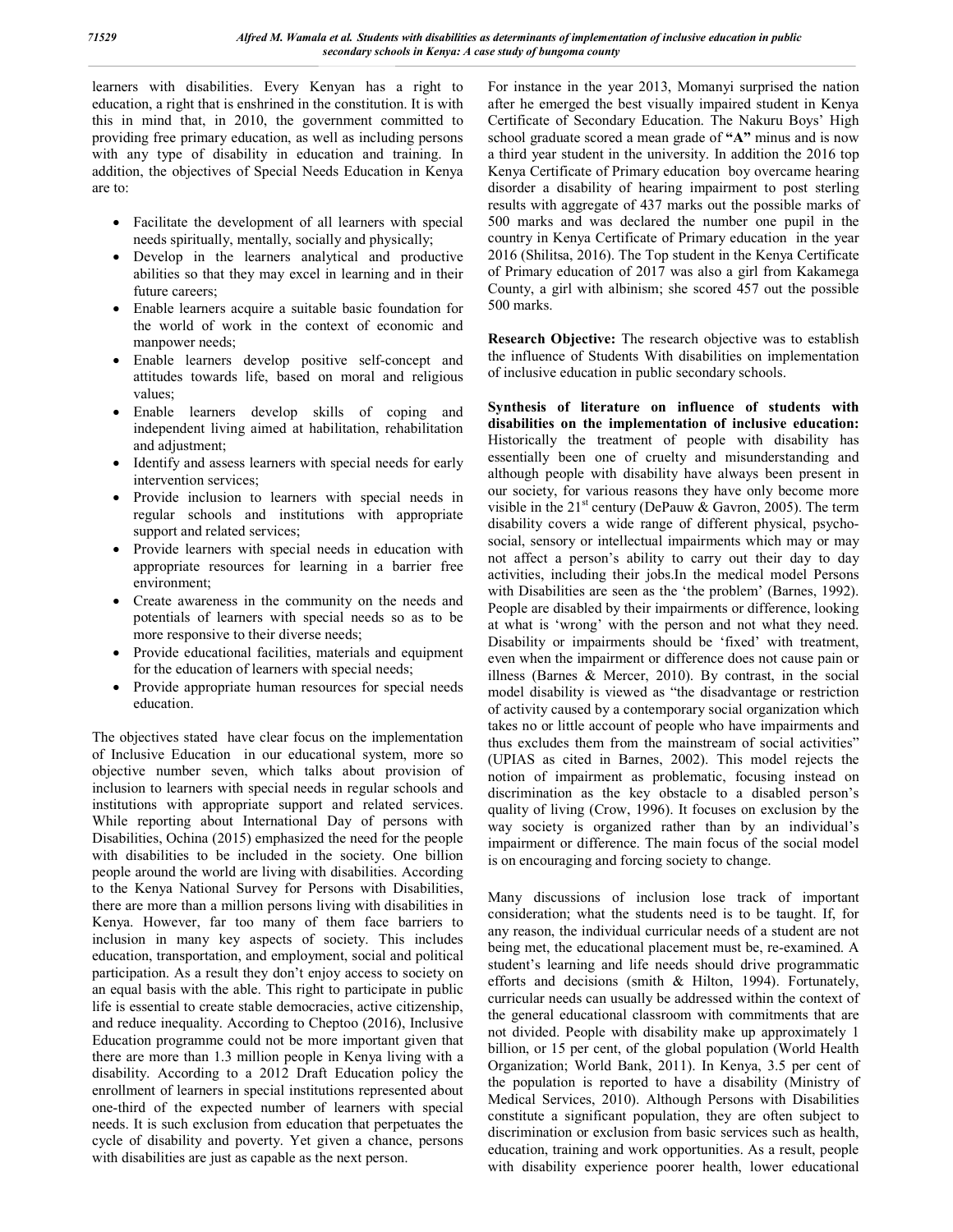learners with disabilities. Every Kenyan has a right to education, a right that is enshrined in the constitution. It is with this in mind that, in 2010, the government committed to providing free primary education, as well as including persons with any type of disability in education and training. In addition, the objectives of Special Needs Education in Kenya are to:

- Facilitate the development of all learners with special needs spiritually, mentally, socially and physically;
- Develop in the learners analytical and productive abilities so that they may excel in learning and in their future careers;
- Enable learners acquire a suitable basic foundation for the world of work in the context of economic and manpower needs;
- Enable learners develop positive self-concept and attitudes towards life, based on moral and religious values;
- Enable learners develop skills of coping and independent living aimed at habilitation, rehabilitation and adjustment;
- Identify and assess learners with special needs for early intervention services;
- Provide inclusion to learners with special needs in regular schools and institutions with appropriate support and related services;
- Provide learners with special needs in education with appropriate resources for learning in a barrier free environment;
- Create awareness in the community on the needs and potentials of learners with special needs so as to be more responsive to their diverse needs;
- Provide educational facilities, materials and equipment for the education of learners with special needs;
- Provide appropriate human resources for special needs education.

The objectives stated have clear focus on the implementation of Inclusive Education in our educational system, more so objective number seven, which talks about provision of inclusion to learners with special needs in regular schools and institutions with appropriate support and related services. While reporting about International Day of persons with Disabilities, Ochina (2015) emphasized the need for the people with disabilities to be included in the society. One billion people around the world are living with disabilities. According to the Kenya National Survey for Persons with Disabilities, there are more than a million persons living with disabilities in Kenya. However, far too many of them face barriers to inclusion in many key aspects of society. This includes education, transportation, and employment, social and political participation. As a result they don't enjoy access to society on an equal basis with the able. This right to participate in public life is essential to create stable democracies, active citizenship, and reduce inequality. According to Cheptoo (2016), Inclusive Education programme could not be more important given that there are more than 1.3 million people in Kenya living with a disability. According to a 2012 Draft Education policy the enrollment of learners in special institutions represented about one-third of the expected number of learners with special needs. It is such exclusion from education that perpetuates the cycle of disability and poverty. Yet given a chance, persons with disabilities are just as capable as the next person.

For instance in the year 2013, Momanyi surprised the nation after he emerged the best visually impaired student in Kenya Certificate of Secondary Education. The Nakuru Boys' High school graduate scored a mean grade of **"A"** minus and is now a third year student in the university. In addition the 2016 top Kenya Certificate of Primary education boy overcame hearing disorder a disability of hearing impairment to post sterling results with aggregate of 437 marks out the possible marks of 500 marks and was declared the number one pupil in the country in Kenya Certificate of Primary education in the year 2016 (Shilitsa, 2016). The Top student in the Kenya Certificate of Primary education of 2017 was also a girl from Kakamega County, a girl with albinism; she scored 457 out the possible 500 marks.

**Research Objective:** The research objective was to establish the influence of Students With disabilities on implementation of inclusive education in public secondary schools.

**Synthesis of literature on influence of students with disabilities on the implementation of inclusive education:**  Historically the treatment of people with disability has essentially been one of cruelty and misunderstanding and although people with disability have always been present in our society, for various reasons they have only become more visible in the  $21<sup>st</sup>$  century (DePauw & Gavron, 2005). The term disability covers a wide range of different physical, psychosocial, sensory or intellectual impairments which may or may not affect a person's ability to carry out their day to day activities, including their jobs.In the medical model Persons with Disabilities are seen as the 'the problem' (Barnes, 1992). People are disabled by their impairments or difference, looking at what is 'wrong' with the person and not what they need. Disability or impairments should be 'fixed' with treatment, even when the impairment or difference does not cause pain or illness (Barnes & Mercer, 2010). By contrast, in the social model disability is viewed as "the disadvantage or restriction of activity caused by a contemporary social organization which takes no or little account of people who have impairments and thus excludes them from the mainstream of social activities" (UPIAS as cited in Barnes, 2002). This model rejects the notion of impairment as problematic, focusing instead on discrimination as the key obstacle to a disabled person's quality of living (Crow, 1996). It focuses on exclusion by the way society is organized rather than by an individual's impairment or difference. The main focus of the social model is on encouraging and forcing society to change.

Many discussions of inclusion lose track of important consideration; what the students need is to be taught. If, for any reason, the individual curricular needs of a student are not being met, the educational placement must be, re-examined. A student's learning and life needs should drive programmatic efforts and decisions (smith & Hilton, 1994). Fortunately, curricular needs can usually be addressed within the context of the general educational classroom with commitments that are not divided. People with disability make up approximately 1 billion, or 15 per cent, of the global population (World Health Organization; World Bank, 2011). In Kenya, 3.5 per cent of the population is reported to have a disability (Ministry of Medical Services, 2010). Although Persons with Disabilities constitute a significant population, they are often subject to discrimination or exclusion from basic services such as health, education, training and work opportunities. As a result, people with disability experience poorer health, lower educational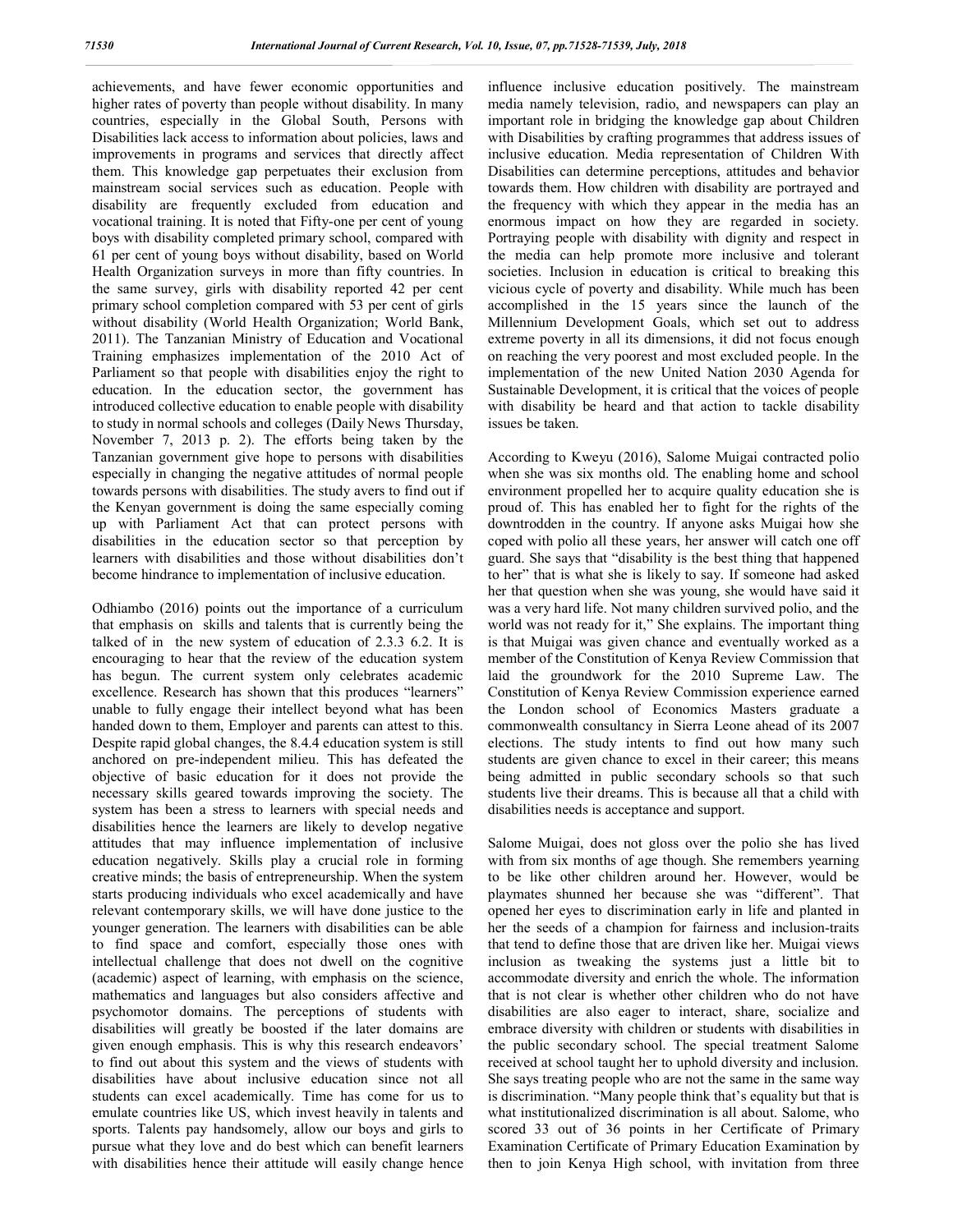achievements, and have fewer economic opportunities and higher rates of poverty than people without disability. In many countries, especially in the Global South, Persons with Disabilities lack access to information about policies, laws and improvements in programs and services that directly affect them. This knowledge gap perpetuates their exclusion from mainstream social services such as education. People with disability are frequently excluded from education and vocational training. It is noted that Fifty-one per cent of young boys with disability completed primary school, compared with 61 per cent of young boys without disability, based on World Health Organization surveys in more than fifty countries. In the same survey, girls with disability reported 42 per cent primary school completion compared with 53 per cent of girls without disability (World Health Organization; World Bank, 2011). The Tanzanian Ministry of Education and Vocational Training emphasizes implementation of the 2010 Act of Parliament so that people with disabilities enjoy the right to education. In the education sector, the government has introduced collective education to enable people with disability to study in normal schools and colleges (Daily News Thursday, November 7, 2013 p. 2). The efforts being taken by the Tanzanian government give hope to persons with disabilities especially in changing the negative attitudes of normal people towards persons with disabilities. The study avers to find out if the Kenyan government is doing the same especially coming up with Parliament Act that can protect persons with disabilities in the education sector so that perception by learners with disabilities and those without disabilities don't become hindrance to implementation of inclusive education.

Odhiambo (2016) points out the importance of a curriculum that emphasis on skills and talents that is currently being the talked of in the new system of education of 2.3.3 6.2. It is encouraging to hear that the review of the education system has begun. The current system only celebrates academic excellence. Research has shown that this produces "learners" unable to fully engage their intellect beyond what has been handed down to them, Employer and parents can attest to this. Despite rapid global changes, the 8.4.4 education system is still anchored on pre-independent milieu. This has defeated the objective of basic education for it does not provide the necessary skills geared towards improving the society. The system has been a stress to learners with special needs and disabilities hence the learners are likely to develop negative attitudes that may influence implementation of inclusive education negatively. Skills play a crucial role in forming creative minds; the basis of entrepreneurship. When the system starts producing individuals who excel academically and have relevant contemporary skills, we will have done justice to the younger generation. The learners with disabilities can be able to find space and comfort, especially those ones with intellectual challenge that does not dwell on the cognitive (academic) aspect of learning, with emphasis on the science, mathematics and languages but also considers affective and psychomotor domains. The perceptions of students with disabilities will greatly be boosted if the later domains are given enough emphasis. This is why this research endeavors' to find out about this system and the views of students with disabilities have about inclusive education since not all students can excel academically. Time has come for us to emulate countries like US, which invest heavily in talents and sports. Talents pay handsomely, allow our boys and girls to pursue what they love and do best which can benefit learners with disabilities hence their attitude will easily change hence

influence inclusive education positively. The mainstream media namely television, radio, and newspapers can play an important role in bridging the knowledge gap about Children with Disabilities by crafting programmes that address issues of inclusive education. Media representation of Children With Disabilities can determine perceptions, attitudes and behavior towards them. How children with disability are portrayed and the frequency with which they appear in the media has an enormous impact on how they are regarded in society. Portraying people with disability with dignity and respect in the media can help promote more inclusive and tolerant societies. Inclusion in education is critical to breaking this vicious cycle of poverty and disability. While much has been accomplished in the 15 years since the launch of the Millennium Development Goals, which set out to address extreme poverty in all its dimensions, it did not focus enough on reaching the very poorest and most excluded people. In the implementation of the new United Nation 2030 Agenda for Sustainable Development, it is critical that the voices of people with disability be heard and that action to tackle disability issues be taken.

According to Kweyu (2016), Salome Muigai contracted polio when she was six months old. The enabling home and school environment propelled her to acquire quality education she is proud of. This has enabled her to fight for the rights of the downtrodden in the country. If anyone asks Muigai how she coped with polio all these years, her answer will catch one off guard. She says that "disability is the best thing that happened to her" that is what she is likely to say. If someone had asked her that question when she was young, she would have said it was a very hard life. Not many children survived polio, and the world was not ready for it," She explains. The important thing is that Muigai was given chance and eventually worked as a member of the Constitution of Kenya Review Commission that laid the groundwork for the 2010 Supreme Law. The Constitution of Kenya Review Commission experience earned the London school of Economics Masters graduate a commonwealth consultancy in Sierra Leone ahead of its 2007 elections. The study intents to find out how many such students are given chance to excel in their career; this means being admitted in public secondary schools so that such students live their dreams. This is because all that a child with disabilities needs is acceptance and support.

Salome Muigai, does not gloss over the polio she has lived with from six months of age though. She remembers yearning to be like other children around her. However, would be playmates shunned her because she was "different". That opened her eyes to discrimination early in life and planted in her the seeds of a champion for fairness and inclusion-traits that tend to define those that are driven like her. Muigai views inclusion as tweaking the systems just a little bit to accommodate diversity and enrich the whole. The information that is not clear is whether other children who do not have disabilities are also eager to interact, share, socialize and embrace diversity with children or students with disabilities in the public secondary school. The special treatment Salome received at school taught her to uphold diversity and inclusion. She says treating people who are not the same in the same way is discrimination. "Many people think that's equality but that is what institutionalized discrimination is all about. Salome, who scored 33 out of 36 points in her Certificate of Primary Examination Certificate of Primary Education Examination by then to join Kenya High school, with invitation from three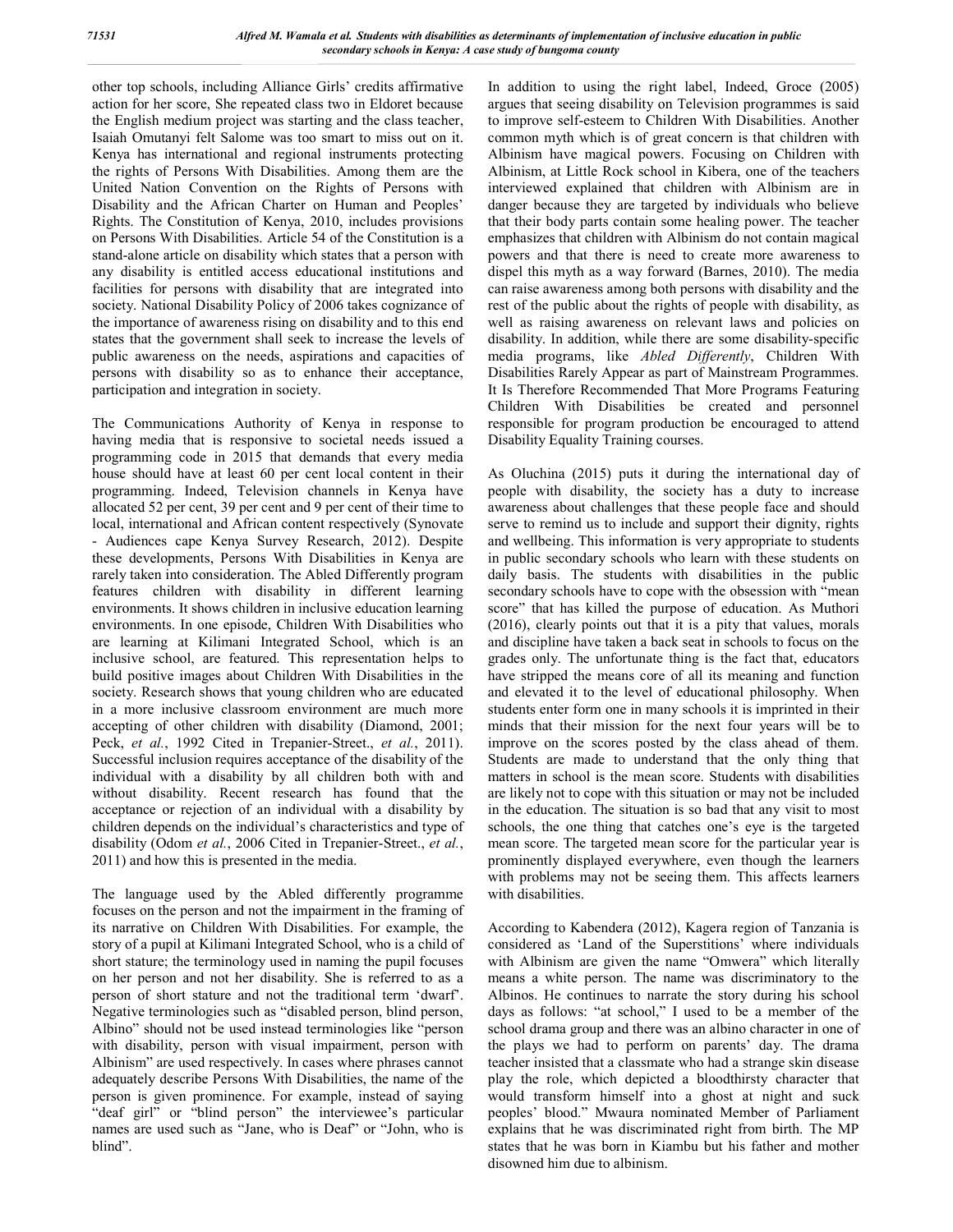other top schools, including Alliance Girls' credits affirmative action for her score, She repeated class two in Eldoret because the English medium project was starting and the class teacher, Isaiah Omutanyi felt Salome was too smart to miss out on it. Kenya has international and regional instruments protecting the rights of Persons With Disabilities. Among them are the United Nation Convention on the Rights of Persons with Disability and the African Charter on Human and Peoples' Rights. The Constitution of Kenya, 2010, includes provisions on Persons With Disabilities. Article 54 of the Constitution is a stand-alone article on disability which states that a person with any disability is entitled access educational institutions and facilities for persons with disability that are integrated into society. National Disability Policy of 2006 takes cognizance of the importance of awareness rising on disability and to this end states that the government shall seek to increase the levels of public awareness on the needs, aspirations and capacities of persons with disability so as to enhance their acceptance, participation and integration in society.

The Communications Authority of Kenya in response to having media that is responsive to societal needs issued a programming code in 2015 that demands that every media house should have at least 60 per cent local content in their programming. Indeed, Television channels in Kenya have allocated 52 per cent, 39 per cent and 9 per cent of their time to local, international and African content respectively (Synovate - Audiences cape Kenya Survey Research, 2012). Despite these developments, Persons With Disabilities in Kenya are rarely taken into consideration. The Abled Differently program features children with disability in different learning environments. It shows children in inclusive education learning environments. In one episode, Children With Disabilities who are learning at Kilimani Integrated School, which is an inclusive school, are featured. This representation helps to build positive images about Children With Disabilities in the society. Research shows that young children who are educated in a more inclusive classroom environment are much more accepting of other children with disability (Diamond, 2001; Peck, *et al.*, 1992 Cited in Trepanier-Street., *et al.*, 2011). Successful inclusion requires acceptance of the disability of the individual with a disability by all children both with and without disability. Recent research has found that the acceptance or rejection of an individual with a disability by children depends on the individual's characteristics and type of disability (Odom *et al.*, 2006 Cited in Trepanier-Street., *et al.*, 2011) and how this is presented in the media.

The language used by the Abled differently programme focuses on the person and not the impairment in the framing of its narrative on Children With Disabilities. For example, the story of a pupil at Kilimani Integrated School, who is a child of short stature; the terminology used in naming the pupil focuses on her person and not her disability. She is referred to as a person of short stature and not the traditional term 'dwarf'. Negative terminologies such as "disabled person, blind person, Albino" should not be used instead terminologies like "person with disability, person with visual impairment, person with Albinism" are used respectively. In cases where phrases cannot adequately describe Persons With Disabilities, the name of the person is given prominence. For example, instead of saying "deaf girl" or "blind person" the interviewee's particular names are used such as "Jane, who is Deaf" or "John, who is blind".

In addition to using the right label, Indeed, Groce (2005) argues that seeing disability on Television programmes is said to improve self-esteem to Children With Disabilities. Another common myth which is of great concern is that children with Albinism have magical powers. Focusing on Children with Albinism, at Little Rock school in Kibera, one of the teachers interviewed explained that children with Albinism are in danger because they are targeted by individuals who believe that their body parts contain some healing power. The teacher emphasizes that children with Albinism do not contain magical powers and that there is need to create more awareness to dispel this myth as a way forward (Barnes, 2010). The media can raise awareness among both persons with disability and the rest of the public about the rights of people with disability, as well as raising awareness on relevant laws and policies on disability. In addition, while there are some disability-specific media programs, like *Abled Differently*, Children With Disabilities Rarely Appear as part of Mainstream Programmes. It Is Therefore Recommended That More Programs Featuring Children With Disabilities be created and personnel responsible for program production be encouraged to attend Disability Equality Training courses.

As Oluchina (2015) puts it during the international day of people with disability, the society has a duty to increase awareness about challenges that these people face and should serve to remind us to include and support their dignity, rights and wellbeing. This information is very appropriate to students in public secondary schools who learn with these students on daily basis. The students with disabilities in the public secondary schools have to cope with the obsession with "mean score" that has killed the purpose of education. As Muthori (2016), clearly points out that it is a pity that values, morals and discipline have taken a back seat in schools to focus on the grades only. The unfortunate thing is the fact that, educators have stripped the means core of all its meaning and function and elevated it to the level of educational philosophy. When students enter form one in many schools it is imprinted in their minds that their mission for the next four years will be to improve on the scores posted by the class ahead of them. Students are made to understand that the only thing that matters in school is the mean score. Students with disabilities are likely not to cope with this situation or may not be included in the education. The situation is so bad that any visit to most schools, the one thing that catches one's eye is the targeted mean score. The targeted mean score for the particular year is prominently displayed everywhere, even though the learners with problems may not be seeing them. This affects learners with disabilities.

According to Kabendera (2012), Kagera region of Tanzania is considered as 'Land of the Superstitions' where individuals with Albinism are given the name "Omwera" which literally means a white person. The name was discriminatory to the Albinos. He continues to narrate the story during his school days as follows: "at school," I used to be a member of the school drama group and there was an albino character in one of the plays we had to perform on parents' day. The drama teacher insisted that a classmate who had a strange skin disease play the role, which depicted a bloodthirsty character that would transform himself into a ghost at night and suck peoples' blood." Mwaura nominated Member of Parliament explains that he was discriminated right from birth. The MP states that he was born in Kiambu but his father and mother disowned him due to albinism.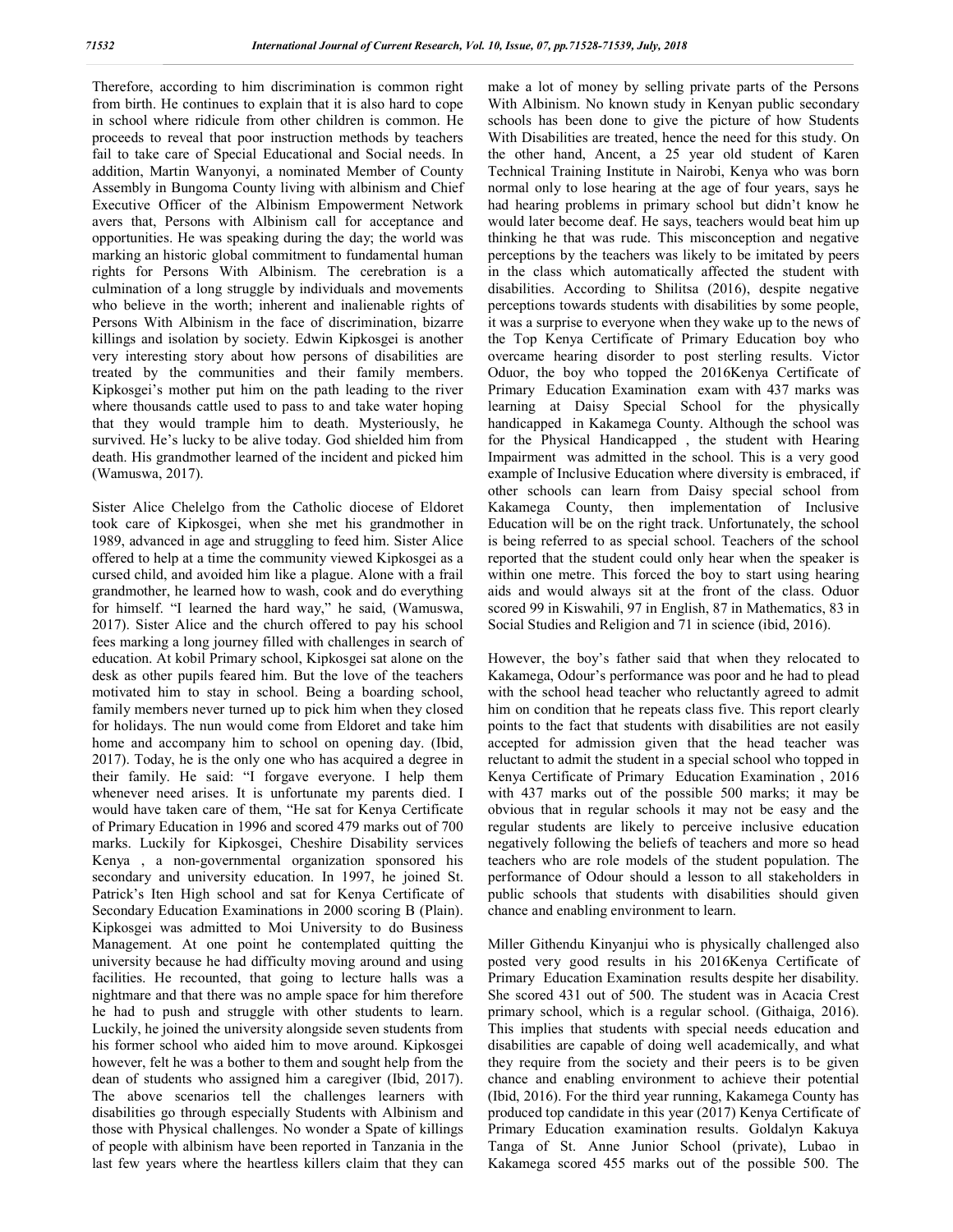Therefore, according to him discrimination is common right from birth. He continues to explain that it is also hard to cope in school where ridicule from other children is common. He proceeds to reveal that poor instruction methods by teachers fail to take care of Special Educational and Social needs. In addition, Martin Wanyonyi, a nominated Member of County Assembly in Bungoma County living with albinism and Chief Executive Officer of the Albinism Empowerment Network avers that, Persons with Albinism call for acceptance and opportunities. He was speaking during the day; the world was marking an historic global commitment to fundamental human rights for Persons With Albinism. The cerebration is a culmination of a long struggle by individuals and movements who believe in the worth; inherent and inalienable rights of Persons With Albinism in the face of discrimination, bizarre killings and isolation by society. Edwin Kipkosgei is another very interesting story about how persons of disabilities are treated by the communities and their family members. Kipkosgei's mother put him on the path leading to the river where thousands cattle used to pass to and take water hoping that they would trample him to death. Mysteriously, he survived. He's lucky to be alive today. God shielded him from death. His grandmother learned of the incident and picked him (Wamuswa, 2017).

Sister Alice Chelelgo from the Catholic diocese of Eldoret took care of Kipkosgei, when she met his grandmother in 1989, advanced in age and struggling to feed him. Sister Alice offered to help at a time the community viewed Kipkosgei as a cursed child, and avoided him like a plague. Alone with a frail grandmother, he learned how to wash, cook and do everything for himself. "I learned the hard way," he said, (Wamuswa, 2017). Sister Alice and the church offered to pay his school fees marking a long journey filled with challenges in search of education. At kobil Primary school, Kipkosgei sat alone on the desk as other pupils feared him. But the love of the teachers motivated him to stay in school. Being a boarding school, family members never turned up to pick him when they closed for holidays. The nun would come from Eldoret and take him home and accompany him to school on opening day. (Ibid, 2017). Today, he is the only one who has acquired a degree in their family. He said: "I forgave everyone. I help them whenever need arises. It is unfortunate my parents died. I would have taken care of them, "He sat for Kenya Certificate of Primary Education in 1996 and scored 479 marks out of 700 marks. Luckily for Kipkosgei, Cheshire Disability services Kenya , a non-governmental organization sponsored his secondary and university education. In 1997, he joined St. Patrick's Iten High school and sat for Kenya Certificate of Secondary Education Examinations in 2000 scoring B (Plain). Kipkosgei was admitted to Moi University to do Business Management. At one point he contemplated quitting the university because he had difficulty moving around and using facilities. He recounted, that going to lecture halls was a nightmare and that there was no ample space for him therefore he had to push and struggle with other students to learn. Luckily, he joined the university alongside seven students from his former school who aided him to move around. Kipkosgei however, felt he was a bother to them and sought help from the dean of students who assigned him a caregiver (Ibid, 2017). The above scenarios tell the challenges learners with disabilities go through especially Students with Albinism and those with Physical challenges. No wonder a Spate of killings of people with albinism have been reported in Tanzania in the last few years where the heartless killers claim that they can

make a lot of money by selling private parts of the Persons With Albinism. No known study in Kenyan public secondary schools has been done to give the picture of how Students With Disabilities are treated, hence the need for this study. On the other hand, Ancent, a 25 year old student of Karen Technical Training Institute in Nairobi, Kenya who was born normal only to lose hearing at the age of four years, says he had hearing problems in primary school but didn't know he would later become deaf. He says, teachers would beat him up thinking he that was rude. This misconception and negative perceptions by the teachers was likely to be imitated by peers in the class which automatically affected the student with disabilities. According to Shilitsa (2016), despite negative perceptions towards students with disabilities by some people, it was a surprise to everyone when they wake up to the news of the Top Kenya Certificate of Primary Education boy who overcame hearing disorder to post sterling results. Victor Oduor, the boy who topped the 2016Kenya Certificate of Primary Education Examination exam with 437 marks was learning at Daisy Special School for the physically handicapped in Kakamega County. Although the school was for the Physical Handicapped , the student with Hearing Impairment was admitted in the school. This is a very good example of Inclusive Education where diversity is embraced, if other schools can learn from Daisy special school from Kakamega County, then implementation of Inclusive Education will be on the right track. Unfortunately, the school is being referred to as special school. Teachers of the school reported that the student could only hear when the speaker is within one metre. This forced the boy to start using hearing aids and would always sit at the front of the class. Oduor scored 99 in Kiswahili, 97 in English, 87 in Mathematics, 83 in Social Studies and Religion and 71 in science (ibid, 2016).

However, the boy's father said that when they relocated to Kakamega, Odour's performance was poor and he had to plead with the school head teacher who reluctantly agreed to admit him on condition that he repeats class five. This report clearly points to the fact that students with disabilities are not easily accepted for admission given that the head teacher was reluctant to admit the student in a special school who topped in Kenya Certificate of Primary Education Examination , 2016 with 437 marks out of the possible 500 marks; it may be obvious that in regular schools it may not be easy and the regular students are likely to perceive inclusive education negatively following the beliefs of teachers and more so head teachers who are role models of the student population. The performance of Odour should a lesson to all stakeholders in public schools that students with disabilities should given chance and enabling environment to learn.

Miller Githendu Kinyanjui who is physically challenged also posted very good results in his 2016Kenya Certificate of Primary Education Examination results despite her disability. She scored 431 out of 500. The student was in Acacia Crest primary school, which is a regular school. (Githaiga, 2016). This implies that students with special needs education and disabilities are capable of doing well academically, and what they require from the society and their peers is to be given chance and enabling environment to achieve their potential (Ibid, 2016). For the third year running, Kakamega County has produced top candidate in this year (2017) Kenya Certificate of Primary Education examination results. Goldalyn Kakuya Tanga of St. Anne Junior School (private), Lubao in Kakamega scored 455 marks out of the possible 500. The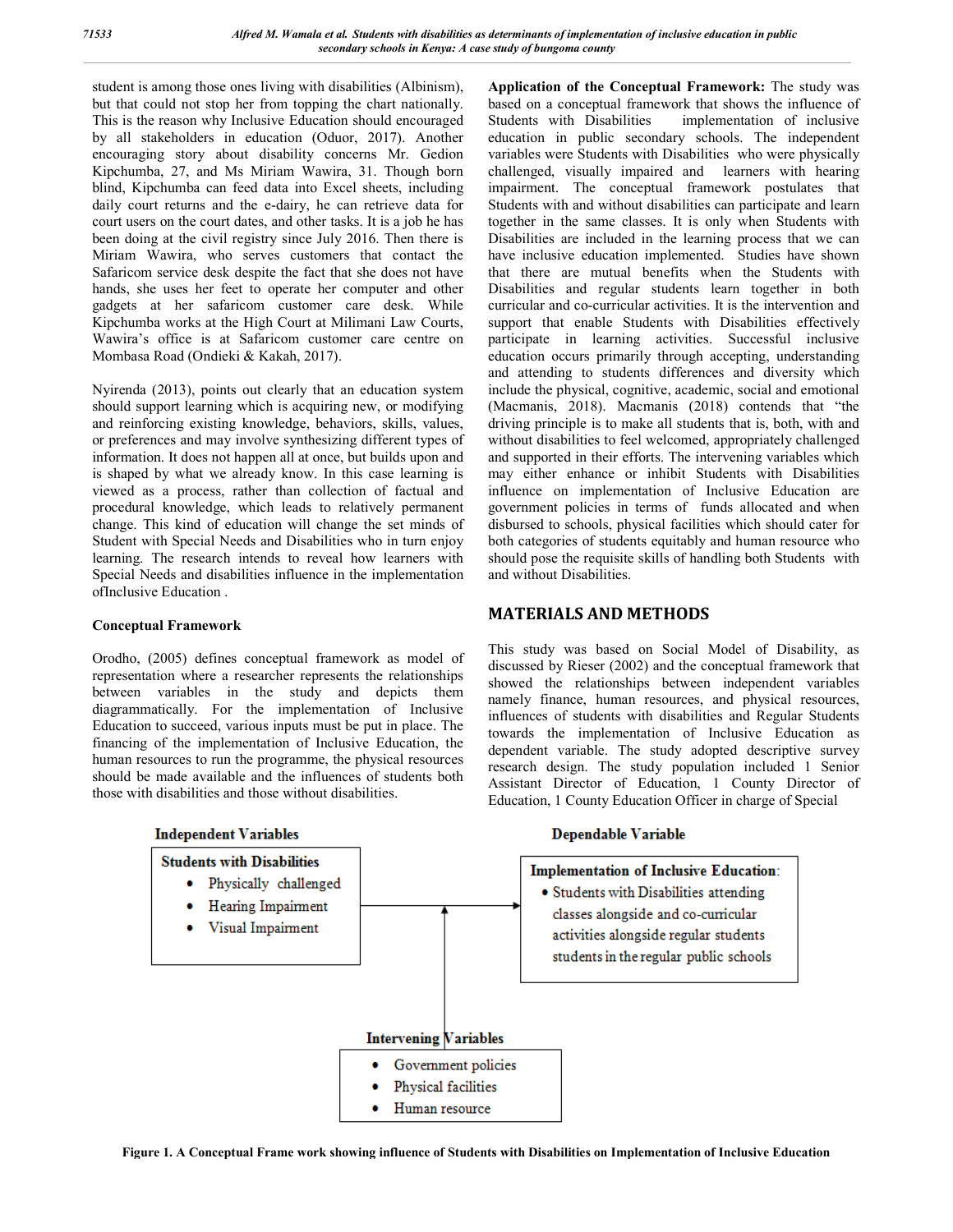student is among those ones living with disabilities (Albinism), but that could not stop her from topping the chart nationally. This is the reason why Inclusive Education should encouraged by all stakeholders in education (Oduor, 2017). Another encouraging story about disability concerns Mr. Gedion Kipchumba, 27, and Ms Miriam Wawira, 31. Though born blind, Kipchumba can feed data into Excel sheets, including daily court returns and the e-dairy, he can retrieve data for court users on the court dates, and other tasks. It is a job he has been doing at the civil registry since July 2016. Then there is Miriam Wawira, who serves customers that contact the Safaricom service desk despite the fact that she does not have hands, she uses her feet to operate her computer and other gadgets at her safaricom customer care desk. While Kipchumba works at the High Court at Milimani Law Courts, Wawira's office is at Safaricom customer care centre on Mombasa Road (Ondieki & Kakah, 2017).

Nyirenda (2013), points out clearly that an education system should support learning which is acquiring new, or modifying and reinforcing existing knowledge, behaviors, skills, values, or preferences and may involve synthesizing different types of information. It does not happen all at once, but builds upon and is shaped by what we already know. In this case learning is viewed as a process, rather than collection of factual and procedural knowledge, which leads to relatively permanent change. This kind of education will change the set minds of Student with Special Needs and Disabilities who in turn enjoy learning. The research intends to reveal how learners with Special Needs and disabilities influence in the implementation ofInclusive Education .

# **Conceptual Framework**

Orodho, (2005) defines conceptual framework as model of representation where a researcher represents the relationships between variables in the study and depicts them diagrammatically. For the implementation of Inclusive Education to succeed, various inputs must be put in place. The financing of the implementation of Inclusive Education, the human resources to run the programme, the physical resources should be made available and the influences of students both those with disabilities and those without disabilities.

**Application of the Conceptual Framework:** The study was based on a conceptual framework that shows the influence of Students with Disabilities implementation of inclusive implementation of inclusive education in public secondary schools. The independent variables were Students with Disabilities who were physically challenged, visually impaired and learners with hearing impairment. The conceptual framework postulates that Students with and without disabilities can participate and learn together in the same classes. It is only when Students with Disabilities are included in the learning process that we can have inclusive education implemented. Studies have shown that there are mutual benefits when the Students with Disabilities and regular students learn together in both curricular and co-curricular activities. It is the intervention and support that enable Students with Disabilities effectively participate in learning activities. Successful inclusive education occurs primarily through accepting, understanding and attending to students differences and diversity which include the physical, cognitive, academic, social and emotional (Macmanis, 2018). Macmanis (2018) contends that "the driving principle is to make all students that is, both, with and without disabilities to feel welcomed, appropriately challenged and supported in their efforts. The intervening variables which may either enhance or inhibit Students with Disabilities influence on implementation of Inclusive Education are government policies in terms of funds allocated and when disbursed to schools, physical facilities which should cater for both categories of students equitably and human resource who should pose the requisite skills of handling both Students with and without Disabilities.

# **MATERIALS AND METHODS**

This study was based on Social Model of Disability, as discussed by Rieser (2002) and the conceptual framework that showed the relationships between independent variables namely finance, human resources, and physical resources, influences of students with disabilities and Regular Students towards the implementation of Inclusive Education as dependent variable. The study adopted descriptive survey research design. The study population included 1 Senior Assistant Director of Education, 1 County Director of Education, 1 County Education Officer in charge of Special



**Figure 1. A Conceptual Frame work showing influence of Students with Disabilities on Implementation of Inclusive Education**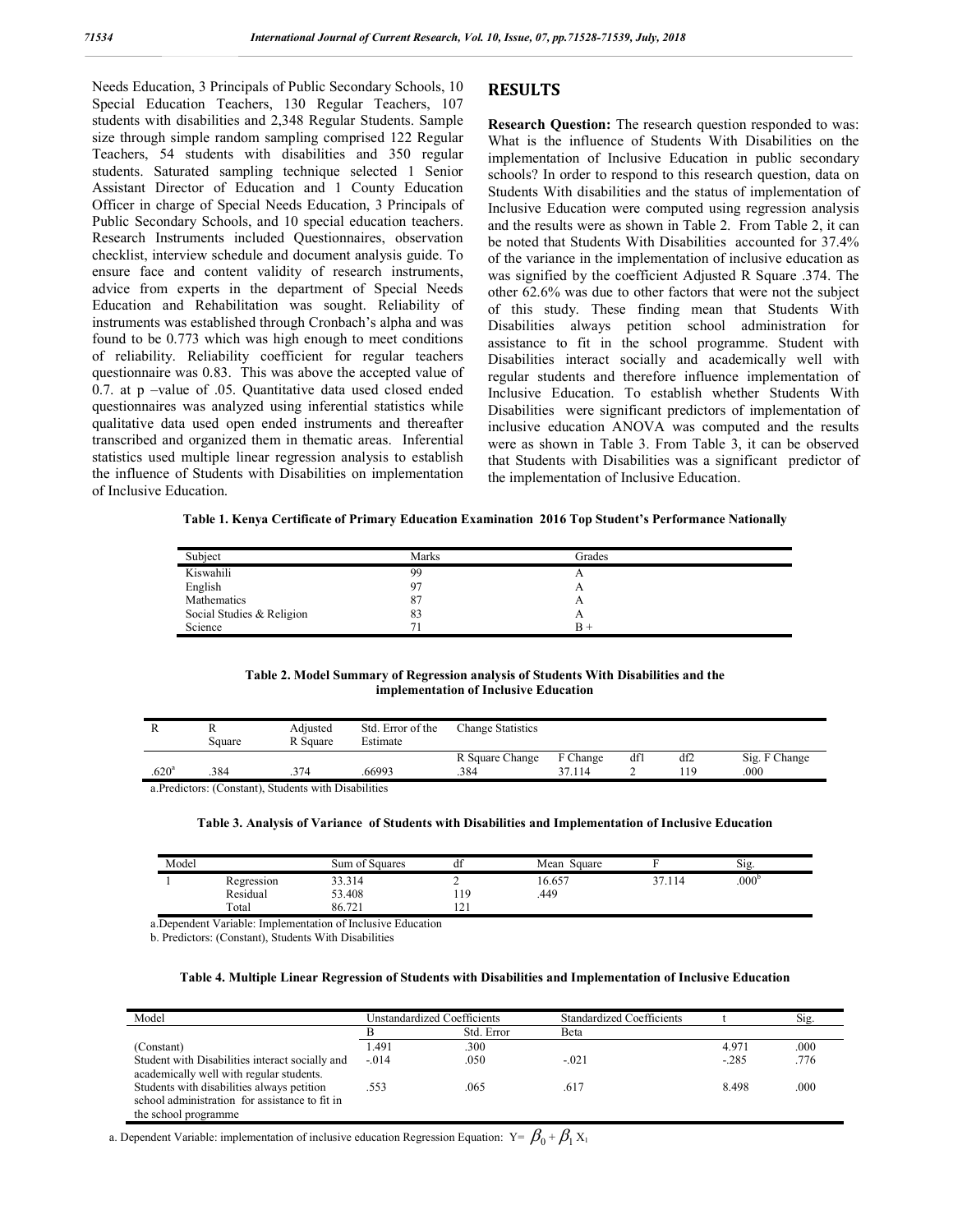Needs Education, 3 Principals of Public Secondary Schools, 10 Special Education Teachers, 130 Regular Teachers, 107 students with disabilities and 2,348 Regular Students. Sample size through simple random sampling comprised 122 Regular Teachers, 54 students with disabilities and 350 regular students. Saturated sampling technique selected 1 Senior Assistant Director of Education and 1 County Education Officer in charge of Special Needs Education, 3 Principals of Public Secondary Schools, and 10 special education teachers. Research Instruments included Questionnaires, observation checklist, interview schedule and document analysis guide. To ensure face and content validity of research instruments, advice from experts in the department of Special Needs Education and Rehabilitation was sought. Reliability of instruments was established through Cronbach's alpha and was found to be 0.773 which was high enough to meet conditions of reliability. Reliability coefficient for regular teachers questionnaire was 0.83. This was above the accepted value of 0.7. at p –value of .05. Quantitative data used closed ended questionnaires was analyzed using inferential statistics while qualitative data used open ended instruments and thereafter transcribed and organized them in thematic areas. Inferential statistics used multiple linear regression analysis to establish the influence of Students with Disabilities on implementation of Inclusive Education.

# **RESULTS**

**Research Question:** The research question responded to was: What is the influence of Students With Disabilities on the implementation of Inclusive Education in public secondary schools? In order to respond to this research question, data on Students With disabilities and the status of implementation of Inclusive Education were computed using regression analysis and the results were as shown in Table 2. From Table 2, it can be noted that Students With Disabilities accounted for 37.4% of the variance in the implementation of inclusive education as was signified by the coefficient Adjusted R Square .374. The other 62.6% was due to other factors that were not the subject of this study. These finding mean that Students With Disabilities always petition school administration for assistance to fit in the school programme. Student with Disabilities interact socially and academically well with regular students and therefore influence implementation of Inclusive Education. To establish whether Students With Disabilities were significant predictors of implementation of inclusive education ANOVA was computed and the results were as shown in Table 3. From Table 3, it can be observed that Students with Disabilities was a significant predictor of the implementation of Inclusive Education.

**Table 1. Kenya Certificate of Primary Education Examination 2016 Top Student's Performance Nationally**

| Subject                   | Marks | Grades |  |
|---------------------------|-------|--------|--|
| Kiswahili                 | 99    | A      |  |
| English                   | 07    | A      |  |
| Mathematics               | 87    | A      |  |
| Social Studies & Religion | 83    | A      |  |
| Science                   | −     | в      |  |

**Table 2. Model Summary of Regression analysis of Students With Disabilities and the implementation of Inclusive Education**

|                   | Square | Adjusted<br>R Square | Std. Error of the<br>Estimate | <b>Change Statistics</b> |          |     |      |               |
|-------------------|--------|----------------------|-------------------------------|--------------------------|----------|-----|------|---------------|
|                   |        |                      |                               | R Square Change          | F Change | dfl | df2  | Sig. F Change |
| .620 <sup>a</sup> | .384   | 374                  | 66993                         | .384                     | 37.114   |     | ' 19 | .000          |
|                   |        |                      |                               |                          |          |     |      |               |

a.Predictors: (Constant), Students with Disabilities

#### **Table 3. Analysis of Variance of Students with Disabilities and Implementation of Inclusive Education**

| Model |            | Sum of Squares | αı           | Mean Square |        | $\sim$ .<br>S1g.  |
|-------|------------|----------------|--------------|-------------|--------|-------------------|
|       | Regression | 33.314         | ∸            | 16.657      | 37.114 | .000 <sup>b</sup> |
|       | Residual   | 53.408         | 19ء          | .449        |        |                   |
|       | Total      | 86.721         | $\sim$<br>-- |             |        |                   |

a.Dependent Variable: Implementation of Inclusive Education

b. Predictors: (Constant), Students With Disabilities

#### **Table 4. Multiple Linear Regression of Students with Disabilities and Implementation of Inclusive Education**

| Model                                                                                                                | Unstandardized Coefficients |            | <b>Standardized Coefficients</b> |        | Sig. |  |
|----------------------------------------------------------------------------------------------------------------------|-----------------------------|------------|----------------------------------|--------|------|--|
|                                                                                                                      |                             | Std. Error | Beta                             |        |      |  |
| (Constant)                                                                                                           | 1.491                       | .300       |                                  | 4.971  | .000 |  |
| Student with Disabilities interact socially and<br>academically well with regular students.                          | $-014$                      | .050       | $-021$                           | $-285$ | .776 |  |
| Students with disabilities always petition<br>school administration for assistance to fit in<br>the school programme | .553                        | .065       | .617                             | 8.498  | .000 |  |

a. Dependent Variable: implementation of inclusive education Regression Equation:  $Y = \beta_0 + \beta_1 X_1$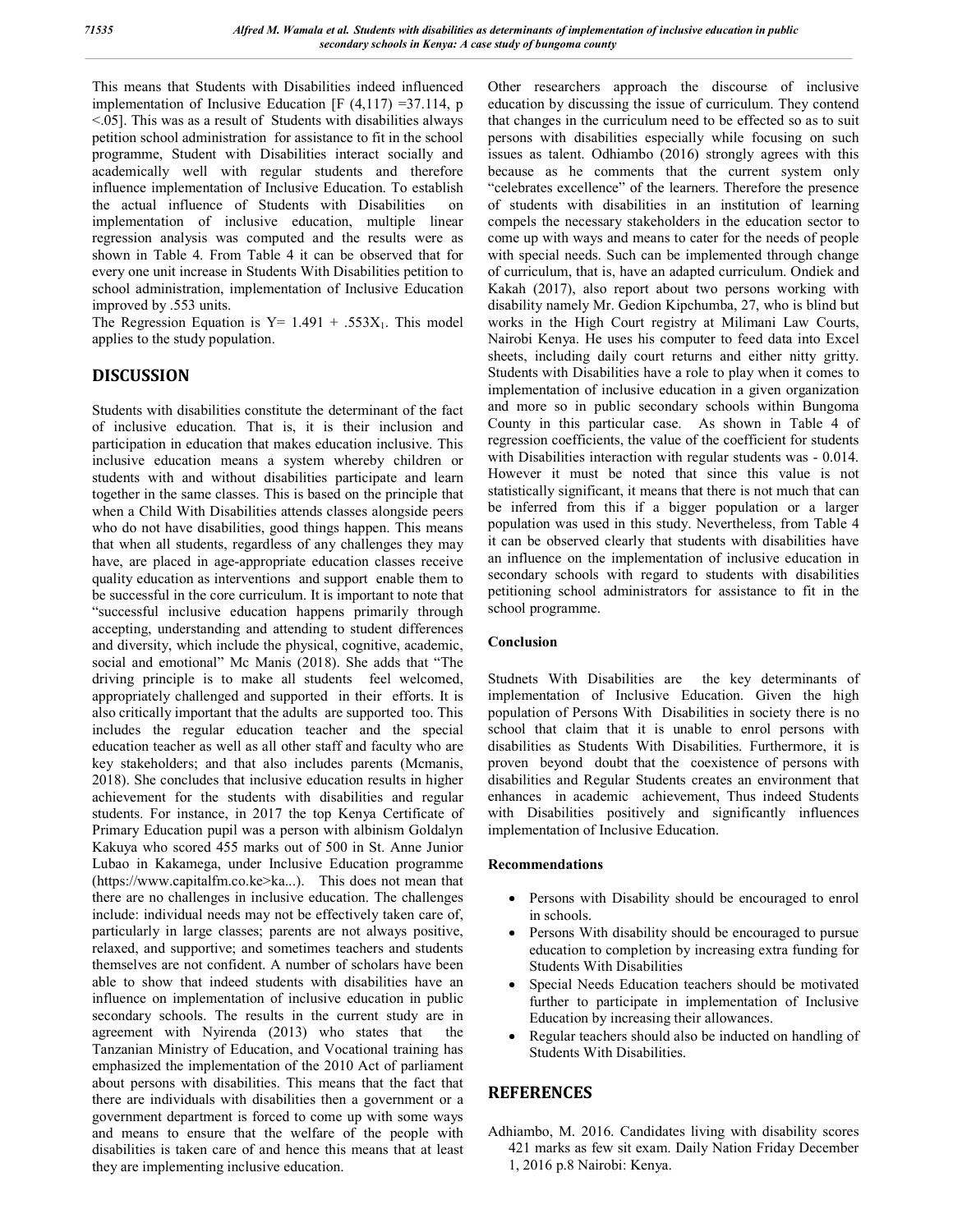This means that Students with Disabilities indeed influenced implementation of Inclusive Education [F  $(4,117)$  =37.114, p <.05]. This was as a result of Students with disabilities always petition school administration for assistance to fit in the school programme, Student with Disabilities interact socially and academically well with regular students and therefore influence implementation of Inclusive Education. To establish the actual influence of Students with Disabilities on implementation of inclusive education, multiple linear regression analysis was computed and the results were as shown in Table 4. From Table 4 it can be observed that for every one unit increase in Students With Disabilities petition to school administration, implementation of Inclusive Education improved by .553 units.

The Regression Equation is  $Y = 1.491 + .553X_1$ . This model applies to the study population.

# **DISCUSSION**

Students with disabilities constitute the determinant of the fact of inclusive education. That is, it is their inclusion and participation in education that makes education inclusive. This inclusive education means a system whereby children or students with and without disabilities participate and learn together in the same classes. This is based on the principle that when a Child With Disabilities attends classes alongside peers who do not have disabilities, good things happen. This means that when all students, regardless of any challenges they may have, are placed in age-appropriate education classes receive quality education as interventions and support enable them to be successful in the core curriculum. It is important to note that "successful inclusive education happens primarily through accepting, understanding and attending to student differences and diversity, which include the physical, cognitive, academic, social and emotional" Mc Manis (2018). She adds that "The driving principle is to make all students feel welcomed, appropriately challenged and supported in their efforts. It is also critically important that the adults are supported too. This includes the regular education teacher and the special education teacher as well as all other staff and faculty who are key stakeholders; and that also includes parents (Mcmanis, 2018). She concludes that inclusive education results in higher achievement for the students with disabilities and regular students. For instance, in 2017 the top Kenya Certificate of Primary Education pupil was a person with albinism Goldalyn Kakuya who scored 455 marks out of 500 in St. Anne Junior Lubao in Kakamega, under Inclusive Education programme (https://www.capitalfm.co.ke>ka...). This does not mean that there are no challenges in inclusive education. The challenges include: individual needs may not be effectively taken care of, particularly in large classes; parents are not always positive, relaxed, and supportive; and sometimes teachers and students themselves are not confident. A number of scholars have been able to show that indeed students with disabilities have an influence on implementation of inclusive education in public secondary schools. The results in the current study are in agreement with Nyirenda (2013) who states that the Tanzanian Ministry of Education, and Vocational training has emphasized the implementation of the 2010 Act of parliament about persons with disabilities. This means that the fact that there are individuals with disabilities then a government or a government department is forced to come up with some ways and means to ensure that the welfare of the people with disabilities is taken care of and hence this means that at least they are implementing inclusive education.

Other researchers approach the discourse of inclusive education by discussing the issue of curriculum. They contend that changes in the curriculum need to be effected so as to suit persons with disabilities especially while focusing on such issues as talent. Odhiambo (2016) strongly agrees with this because as he comments that the current system only "celebrates excellence" of the learners. Therefore the presence of students with disabilities in an institution of learning compels the necessary stakeholders in the education sector to come up with ways and means to cater for the needs of people with special needs. Such can be implemented through change of curriculum, that is, have an adapted curriculum. Ondiek and Kakah (2017), also report about two persons working with disability namely Mr. Gedion Kipchumba, 27, who is blind but works in the High Court registry at Milimani Law Courts, Nairobi Kenya. He uses his computer to feed data into Excel sheets, including daily court returns and either nitty gritty. Students with Disabilities have a role to play when it comes to implementation of inclusive education in a given organization and more so in public secondary schools within Bungoma County in this particular case. As shown in Table 4 of regression coefficients, the value of the coefficient for students with Disabilities interaction with regular students was - 0.014. However it must be noted that since this value is not statistically significant, it means that there is not much that can be inferred from this if a bigger population or a larger population was used in this study. Nevertheless, from Table 4 it can be observed clearly that students with disabilities have an influence on the implementation of inclusive education in secondary schools with regard to students with disabilities petitioning school administrators for assistance to fit in the school programme.

# **Conclusion**

Studnets With Disabilities are the key determinants of implementation of Inclusive Education. Given the high population of Persons With Disabilities in society there is no school that claim that it is unable to enrol persons with disabilities as Students With Disabilities. Furthermore, it is proven beyond doubt that the coexistence of persons with disabilities and Regular Students creates an environment that enhances in academic achievement, Thus indeed Students with Disabilities positively and significantly influences implementation of Inclusive Education.

#### **Recommendations**

- Persons with Disability should be encouraged to enrol in schools.
- Persons With disability should be encouraged to pursue education to completion by increasing extra funding for Students With Disabilities
- Special Needs Education teachers should be motivated further to participate in implementation of Inclusive Education by increasing their allowances.
- Regular teachers should also be inducted on handling of Students With Disabilities.

# **REFERENCES**

Adhiambo, M. 2016. Candidates living with disability scores 421 marks as few sit exam. Daily Nation Friday December 1, 2016 p.8 Nairobi: Kenya.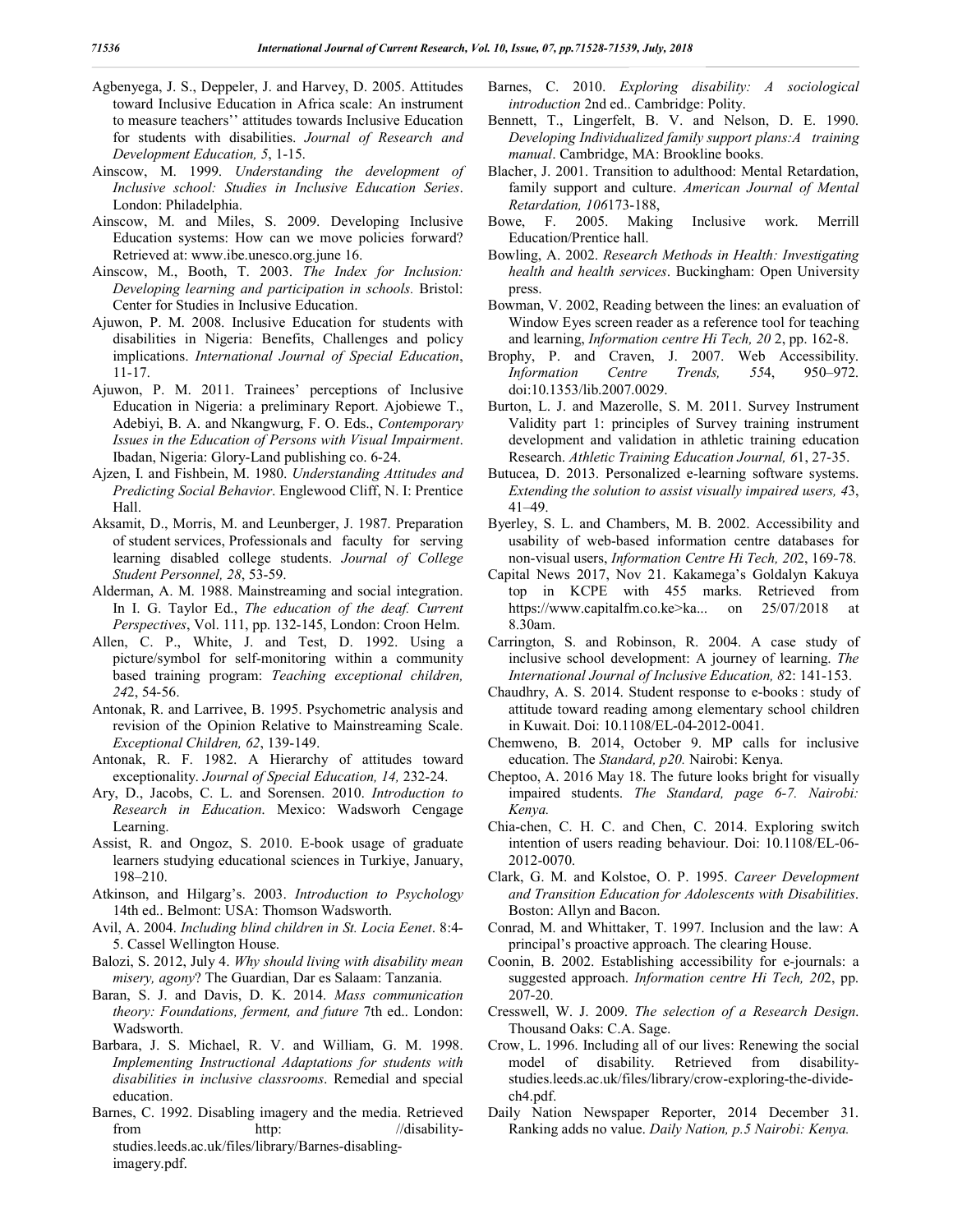- Agbenyega, J. S., Deppeler, J. and Harvey, D. 2005. Attitudes toward Inclusive Education in Africa scale: An instrument to measure teachers'' attitudes towards Inclusive Education for students with disabilities. *Journal of Research and Development Education, 5*, 1-15.
- Ainscow, M. 1999. *Understanding the development of Inclusive school: Studies in Inclusive Education Series*. London: Philadelphia.
- Ainscow, M. and Miles, S. 2009. Developing Inclusive Education systems: How can we move policies forward? Retrieved at: www.ibe.unesco.org.june 16.
- Ainscow, M., Booth, T. 2003. *The Index for Inclusion: Developing learning and participation in schools.* Bristol: Center for Studies in Inclusive Education.
- Ajuwon, P. M. 2008. Inclusive Education for students with disabilities in Nigeria: Benefits, Challenges and policy implications. *International Journal of Special Education*, 11-17.
- Ajuwon, P. M. 2011. Trainees' perceptions of Inclusive Education in Nigeria: a preliminary Report. Ajobiewe T., Adebiyi, B. A. and Nkangwurg, F. O. Eds., *Contemporary Issues in the Education of Persons with Visual Impairment*. Ibadan, Nigeria: Glory-Land publishing co. 6-24.
- Ajzen, I. and Fishbein, M. 1980. *Understanding Attitudes and Predicting Social Behavior*. Englewood Cliff, N. I: Prentice Hall.
- Aksamit, D., Morris, M. and Leunberger, J. 1987. Preparation of student services, Professionals and faculty for serving learning disabled college students. *Journal of College Student Personnel, 28*, 53-59.
- Alderman, A. M. 1988. Mainstreaming and social integration. In I. G. Taylor Ed., *The education of the deaf. Current Perspectives*, Vol. 111, pp. 132-145, London: Croon Helm.
- Allen, C. P., White, J. and Test, D. 1992. Using a picture/symbol for self-monitoring within a community based training program: *Teaching exceptional children, 24*2, 54-56.
- Antonak, R. and Larrivee, B. 1995. Psychometric analysis and revision of the Opinion Relative to Mainstreaming Scale. *Exceptional Children, 62*, 139-149.
- Antonak, R. F. 1982. A Hierarchy of attitudes toward exceptionality. *Journal of Special Education, 14,* 232-24.
- Ary, D., Jacobs, C. L. and Sorensen. 2010. *Introduction to Research in Education*. Mexico: Wadsworh Cengage Learning.
- Assist, R. and Ongoz, S. 2010. E-book usage of graduate learners studying educational sciences in Turkiye, January, 198–210.
- Atkinson, and Hilgarg's. 2003. *Introduction to Psychology* 14th ed.. Belmont: USA: Thomson Wadsworth.
- Avil, A. 2004. *Including blind children in St. Locia Eenet*. 8:4- 5. Cassel Wellington House.
- Balozi, S. 2012, July 4. *Why should living with disability mean misery, agony*? The Guardian, Dar es Salaam: Tanzania.
- Baran, S. J. and Davis, D. K. 2014. *Mass communication theory: Foundations, ferment, and future* 7th ed.. London: Wadsworth.
- Barbara, J. S. Michael, R. V. and William, G. M. 1998. *Implementing Instructional Adaptations for students with disabilities in inclusive classrooms*. Remedial and special education.
- Barnes, C. 1992. Disabling imagery and the media. Retrieved from http: //disabilitystudies.leeds.ac.uk/files/library/Barnes-disablingimagery.pdf.
- Barnes, C. 2010. *Exploring disability: A sociological introduction* 2nd ed.. Cambridge: Polity.
- Bennett, T., Lingerfelt, B. V. and Nelson, D. E. 1990. *Developing Individualized family support plans:A training manual*. Cambridge, MA: Brookline books.
- Blacher, J. 2001. Transition to adulthood: Mental Retardation, family support and culture. *American Journal of Mental Retardation, 106*173-188,
- Bowe, F. 2005. Making Inclusive work. Merrill Education/Prentice hall.
- Bowling, A. 2002. *Research Methods in Health: Investigating health and health services*. Buckingham: Open University press.
- Bowman, V. 2002, Reading between the lines: an evaluation of Window Eyes screen reader as a reference tool for teaching and learning, *Information centre Hi Tech, 20* 2, pp. 162-8.
- Brophy, P. and Craven, J. 2007. Web Accessibility. *Information Centre Trends, 55*4, 950–972. doi:10.1353/lib.2007.0029.
- Burton, L. J. and Mazerolle, S. M. 2011. Survey Instrument Validity part 1: principles of Survey training instrument development and validation in athletic training education Research. *Athletic Training Education Journal, 6*1, 27-35.
- Butucea, D. 2013. Personalized e-learning software systems. *Extending the solution to assist visually impaired users, 4*3, 41–49.
- Byerley, S. L. and Chambers, M. B. 2002. Accessibility and usability of web-based information centre databases for non-visual users, *Information Centre Hi Tech, 20*2, 169-78.
- Capital News 2017, Nov 21. Kakamega's Goldalyn Kakuya top in KCPE with 455 marks. Retrieved from https://www.capitalfm.co.ke>ka... on 25/07/2018 at 8.30am.
- Carrington, S. and Robinson, R. 2004. A case study of inclusive school development: A journey of learning. *The International Journal of Inclusive Education, 8*2: 141-153.
- Chaudhry, A. S. 2014. Student response to e-books : study of attitude toward reading among elementary school children in Kuwait. Doi: 10.1108/EL-04-2012-0041.
- Chemweno, B. 2014, October 9. MP calls for inclusive education. The *Standard, p20.* Nairobi: Kenya.
- Cheptoo, A. 2016 May 18. The future looks bright for visually impaired students. *The Standard, page 6-7. Nairobi: Kenya.*
- Chia-chen, C. H. C. and Chen, C. 2014. Exploring switch intention of users reading behaviour. Doi: 10.1108/EL-06- 2012-0070.
- Clark, G. M. and Kolstoe, O. P. 1995. *Career Development and Transition Education for Adolescents with Disabilities*. Boston: Allyn and Bacon.
- Conrad, M. and Whittaker, T. 1997. Inclusion and the law: A principal's proactive approach. The clearing House.
- Coonin, B. 2002. Establishing accessibility for e-journals: a suggested approach. *Information centre Hi Tech, 20*2, pp. 207-20.
- Cresswell, W. J. 2009. *The selection of a Research Design*. Thousand Oaks: C.A. Sage.
- Crow, L. 1996. Including all of our lives: Renewing the social model of disability. Retrieved from disabilitystudies.leeds.ac.uk/files/library/crow-exploring-the-dividech4.pdf.
- Daily Nation Newspaper Reporter, 2014 December 31. Ranking adds no value. *Daily Nation, p.5 Nairobi: Kenya.*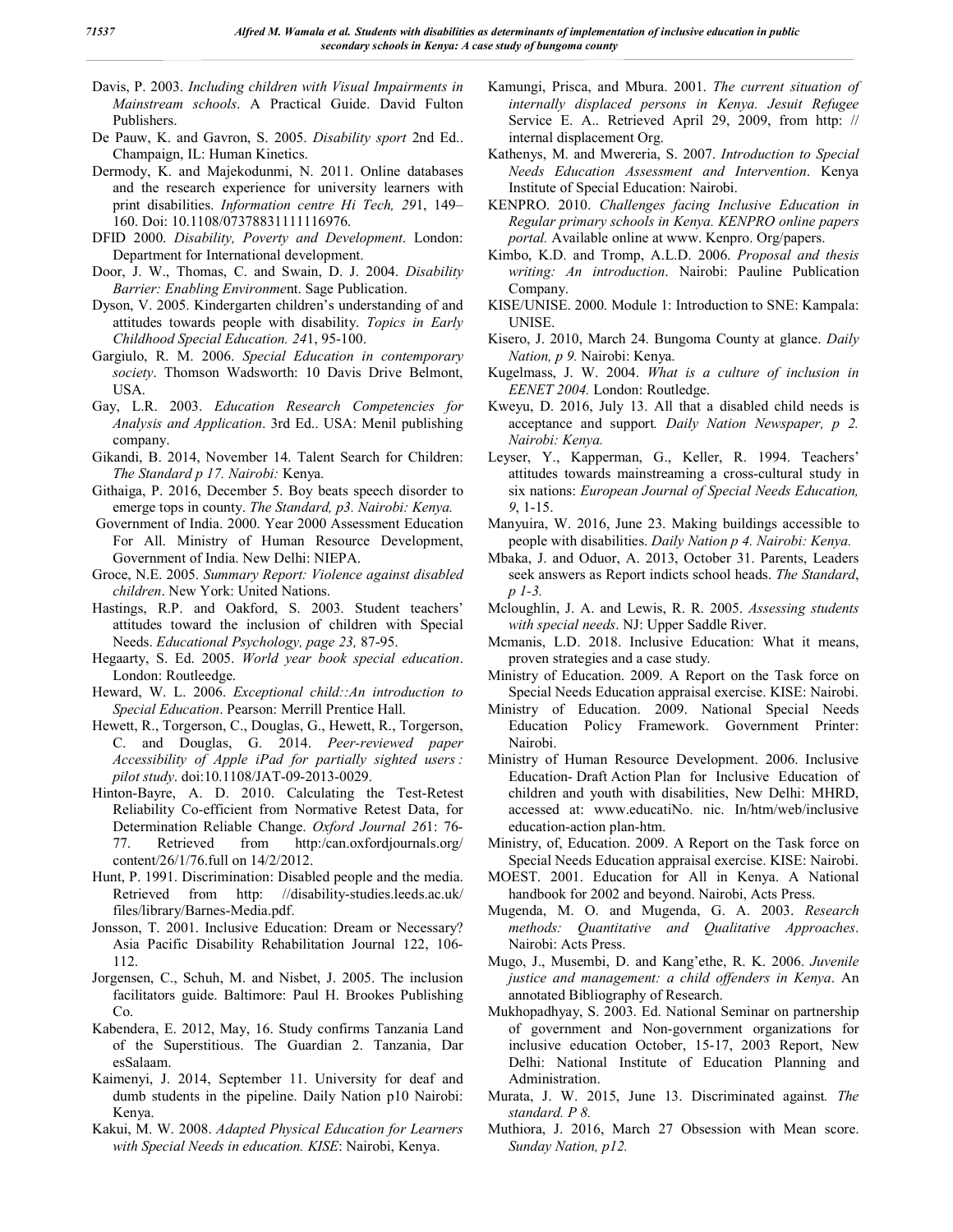- Davis, P. 2003. *Including children with Visual Impairments in Mainstream schools*. A Practical Guide. David Fulton Publishers.
- De Pauw, K. and Gavron, S. 2005. *Disability sport* 2nd Ed.. Champaign, IL: Human Kinetics.
- Dermody, K. and Majekodunmi, N. 2011. Online databases and the research experience for university learners with print disabilities. *Information centre Hi Tech, 29*1, 149– 160. Doi: 10.1108/07378831111116976.
- DFID 2000. *Disability, Poverty and Development*. London: Department for International development.
- Door, J. W., Thomas, C. and Swain, D. J. 2004. *Disability Barrier: Enabling Environme*nt. Sage Publication.
- Dyson, V. 2005. Kindergarten children's understanding of and attitudes towards people with disability. *Topics in Early Childhood Special Education. 24*1, 95-100.
- Gargiulo, R. M. 2006. *Special Education in contemporary society*. Thomson Wadsworth: 10 Davis Drive Belmont, USA.
- Gay, L.R. 2003. *Education Research Competencies for Analysis and Application*. 3rd Ed.. USA: Menil publishing company.
- Gikandi, B. 2014, November 14. Talent Search for Children: *The Standard p 17. Nairobi:* Kenya.
- Githaiga, P. 2016, December 5. Boy beats speech disorder to emerge tops in county. *The Standard, p3. Nairobi: Kenya.*
- Government of India. 2000. Year 2000 Assessment Education For All. Ministry of Human Resource Development, Government of India. New Delhi: NIEPA.
- Groce, N.E. 2005. *Summary Report: Violence against disabled children*. New York: United Nations.
- Hastings, R.P. and Oakford, S. 2003. Student teachers' attitudes toward the inclusion of children with Special Needs. *Educational Psychology, page 23,* 87-95.
- Hegaarty, S. Ed. 2005. *World year book special education*. London: Routleedge.
- Heward, W. L. 2006. *Exceptional child::An introduction to Special Education*. Pearson: Merrill Prentice Hall.
- Hewett, R., Torgerson, C., Douglas, G., Hewett, R., Torgerson, C. and Douglas, G. 2014. *Peer-reviewed paper Accessibility of Apple iPad for partially sighted users : pilot study*. doi:10.1108/JAT-09-2013-0029.
- Hinton-Bayre, A. D. 2010. Calculating the Test-Retest Reliability Co-efficient from Normative Retest Data, for Determination Reliable Change. *Oxford Journal 26*1: 76- 77. Retrieved from http:/can.oxfordjournals.org/ content/26/1/76.full on 14/2/2012.
- Hunt, P. 1991. Discrimination: Disabled people and the media. Retrieved from http: //disability-studies.leeds.ac.uk/ files/library/Barnes-Media.pdf.
- Jonsson, T. 2001. Inclusive Education: Dream or Necessary? Asia Pacific Disability Rehabilitation Journal 122, 106- 112.
- Jorgensen, C., Schuh, M. and Nisbet, J. 2005. The inclusion facilitators guide. Baltimore: Paul H. Brookes Publishing Co.
- Kabendera, E. 2012, May, 16. Study confirms Tanzania Land of the Superstitious. The Guardian 2. Tanzania, Dar esSalaam.
- Kaimenyi, J. 2014, September 11. University for deaf and dumb students in the pipeline. Daily Nation p10 Nairobi: Kenya.
- Kakui, M. W. 2008. *Adapted Physical Education for Learners with Special Needs in education. KISE*: Nairobi, Kenya.
- Kamungi, Prisca, and Mbura. 2001. *The current situation of internally displaced persons in Kenya. Jesuit Refugee*  Service E. A.. Retrieved April 29, 2009, from http: // internal displacement Org.
- Kathenys, M. and Mwereria, S. 2007. *Introduction to Special Needs Education Assessment and Intervention*. Kenya Institute of Special Education: Nairobi.
- KENPRO. 2010. *Challenges facing Inclusive Education in Regular primary schools in Kenya. KENPRO online papers portal.* Available online at www. Kenpro. Org/papers.
- Kimbo, K.D. and Tromp, A.L.D. 2006. *Proposal and thesis writing: An introduction*. Nairobi: Pauline Publication Company.
- KISE/UNISE. 2000. Module 1: Introduction to SNE: Kampala: UNISE.
- Kisero, J. 2010, March 24. Bungoma County at glance. *Daily Nation, p 9.* Nairobi: Kenya.
- Kugelmass, J. W. 2004. *What is a culture of inclusion in EENET 2004.* London: Routledge.
- Kweyu, D. 2016, July 13. All that a disabled child needs is acceptance and support*. Daily Nation Newspaper, p 2. Nairobi: Kenya.*
- Leyser, Y., Kapperman, G., Keller, R. 1994. Teachers' attitudes towards mainstreaming a cross-cultural study in six nations: *European Journal of Special Needs Education, 9*, 1-15.
- Manyuira, W. 2016, June 23. Making buildings accessible to people with disabilities. *Daily Nation p 4. Nairobi: Kenya.*
- Mbaka, J. and Oduor, A. 2013, October 31. Parents, Leaders seek answers as Report indicts school heads. *The Standard*, *p 1-3.*
- Mcloughlin, J. A. and Lewis, R. R. 2005. *Assessing students with special needs*. NJ: Upper Saddle River.
- Mcmanis, L.D. 2018. Inclusive Education: What it means, proven strategies and a case study.
- Ministry of Education. 2009. A Report on the Task force on Special Needs Education appraisal exercise. KISE: Nairobi.
- Ministry of Education. 2009. National Special Needs Education Policy Framework. Government Printer: Nairobi.
- Ministry of Human Resource Development. 2006. Inclusive Education- Draft Action Plan for Inclusive Education of children and youth with disabilities, New Delhi: MHRD, accessed at: www.educatiNo. nic. In/htm/web/inclusive education-action plan-htm.
- Ministry, of, Education. 2009. A Report on the Task force on Special Needs Education appraisal exercise. KISE: Nairobi.
- MOEST. 2001. Education for All in Kenya. A National handbook for 2002 and beyond. Nairobi, Acts Press.
- Mugenda, M. O. and Mugenda, G. A. 2003. *Research methods: Quantitative and Qualitative Approaches*. Nairobi: Acts Press.
- Mugo, J., Musembi, D. and Kang'ethe, R. K. 2006. *Juvenile justice and management: a child offenders in Kenya*. An annotated Bibliography of Research.
- Mukhopadhyay, S. 2003. Ed. National Seminar on partnership of government and Non-government organizations for inclusive education October, 15-17, 2003 Report, New Delhi: National Institute of Education Planning and Administration.
- Murata, J. W. 2015, June 13. Discriminated against*. The standard. P 8.*
- Muthiora, J. 2016, March 27 Obsession with Mean score. *Sunday Nation, p12.*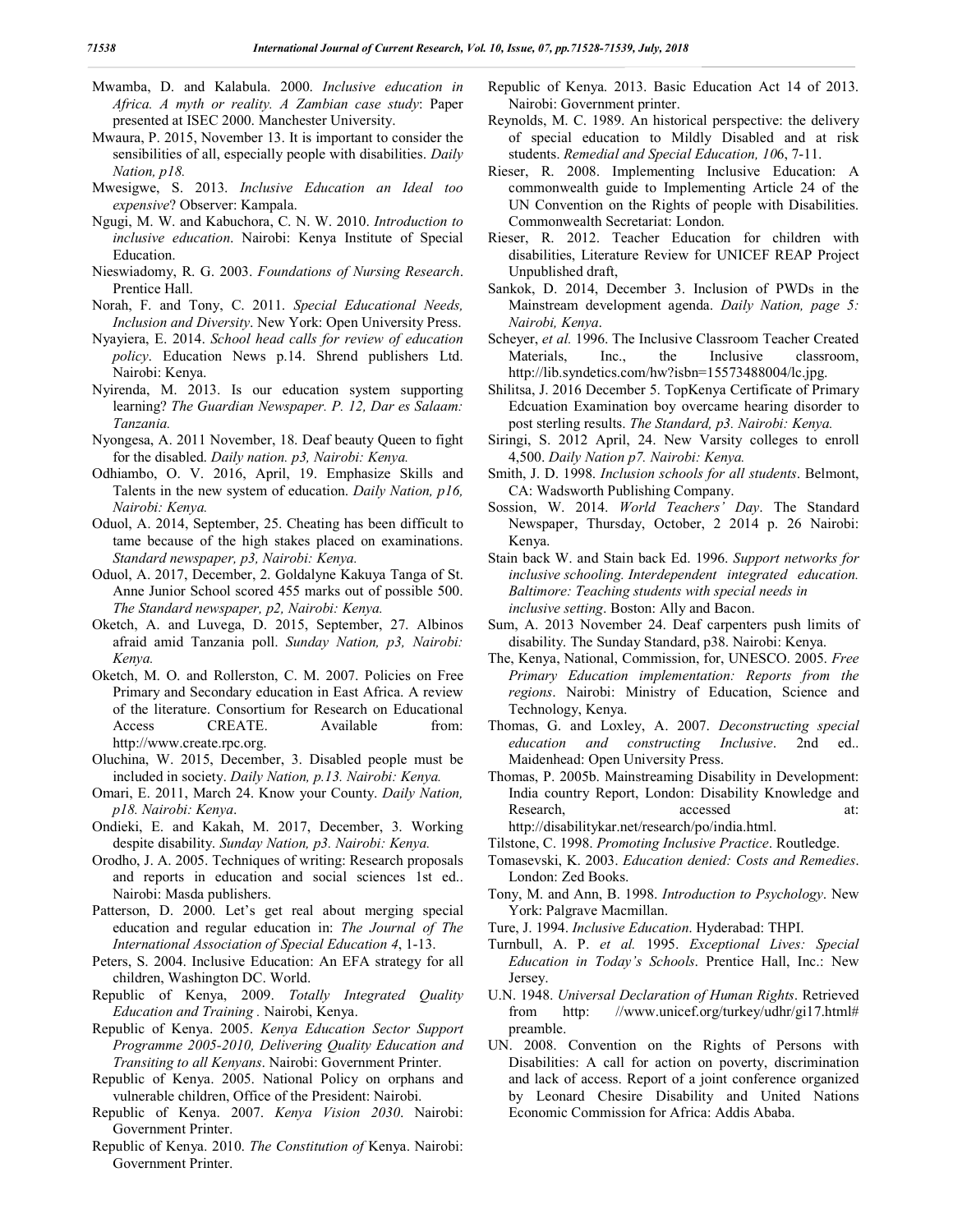- Mwamba, D. and Kalabula. 2000. *Inclusive education in Africa. A myth or reality. A Zambian case study*: Paper presented at ISEC 2000. Manchester University.
- Mwaura, P. 2015, November 13. It is important to consider the sensibilities of all, especially people with disabilities. *Daily Nation, p18.*
- Mwesigwe, S. 2013. *Inclusive Education an Ideal too expensive*? Observer: Kampala.
- Ngugi, M. W. and Kabuchora, C. N. W. 2010. *Introduction to inclusive education*. Nairobi: Kenya Institute of Special Education.
- Nieswiadomy, R. G. 2003. *Foundations of Nursing Research*. Prentice Hall.
- Norah, F. and Tony, C. 2011. *Special Educational Needs, Inclusion and Diversity*. New York: Open University Press.
- Nyayiera, E. 2014. *School head calls for review of education policy*. Education News p.14. Shrend publishers Ltd. Nairobi: Kenya.
- Nyirenda, M. 2013. Is our education system supporting learning? *The Guardian Newspaper. P. 12, Dar es Salaam: Tanzania.*
- Nyongesa, A. 2011 November, 18. Deaf beauty Queen to fight for the disabled. *Daily nation. p3, Nairobi: Kenya.*
- Odhiambo, O. V. 2016, April, 19. Emphasize Skills and Talents in the new system of education. *Daily Nation, p16, Nairobi: Kenya.*
- Oduol, A. 2014, September, 25. Cheating has been difficult to tame because of the high stakes placed on examinations. *Standard newspaper, p3, Nairobi: Kenya.*
- Oduol, A. 2017, December, 2. Goldalyne Kakuya Tanga of St. Anne Junior School scored 455 marks out of possible 500. *The Standard newspaper, p2, Nairobi: Kenya.*
- Oketch, A. and Luvega, D. 2015, September, 27. Albinos afraid amid Tanzania poll. *Sunday Nation, p3, Nairobi: Kenya.*
- Oketch, M. O. and Rollerston, C. M. 2007. Policies on Free Primary and Secondary education in East Africa. A review of the literature. Consortium for Research on Educational Access CREATE. Available from: http://www.create.rpc.org.
- Oluchina, W. 2015, December, 3. Disabled people must be included in society. *Daily Nation, p.13. Nairobi: Kenya.*
- Omari, E. 2011, March 24. Know your County. *Daily Nation, p18. Nairobi: Kenya*.
- Ondieki, E. and Kakah, M. 2017, December, 3. Working despite disability. *Sunday Nation, p3. Nairobi: Kenya.*
- Orodho, J. A. 2005. Techniques of writing: Research proposals and reports in education and social sciences 1st ed.. Nairobi: Masda publishers.
- Patterson, D. 2000. Let's get real about merging special education and regular education in: *The Journal of The International Association of Special Education 4*, 1-13.
- Peters, S. 2004. Inclusive Education: An EFA strategy for all children, Washington DC. World.
- Republic of Kenya, 2009. *Totally Integrated Quality Education and Training .* Nairobi, Kenya.
- Republic of Kenya. 2005. *Kenya Education Sector Support Programme 2005-2010, Delivering Quality Education and Transiting to all Kenyans*. Nairobi: Government Printer.
- Republic of Kenya. 2005. National Policy on orphans and vulnerable children, Office of the President: Nairobi.
- Republic of Kenya. 2007. *Kenya Vision 2030*. Nairobi: Government Printer.
- Republic of Kenya. 2010. *The Constitution of* Kenya. Nairobi: Government Printer.
- Republic of Kenya. 2013. Basic Education Act 14 of 2013. Nairobi: Government printer.
- Reynolds, M. C. 1989. An historical perspective: the delivery of special education to Mildly Disabled and at risk students. *Remedial and Special Education, 10*6, 7-11.
- Rieser, R. 2008. Implementing Inclusive Education: A commonwealth guide to Implementing Article 24 of the UN Convention on the Rights of people with Disabilities. Commonwealth Secretariat: London.
- Rieser, R. 2012. Teacher Education for children with disabilities, Literature Review for UNICEF REAP Project Unpublished draft,
- Sankok, D. 2014, December 3. Inclusion of PWDs in the Mainstream development agenda. *Daily Nation, page 5: Nairobi, Kenya*.
- Scheyer, *et al.* 1996. The Inclusive Classroom Teacher Created Materials, Inc., the Inclusive classroom, http://lib.syndetics.com/hw?isbn=15573488004/lc.jpg.
- Shilitsa, J. 2016 December 5. TopKenya Certificate of Primary Edcuation Examination boy overcame hearing disorder to post sterling results. *The Standard, p3. Nairobi: Kenya.*
- Siringi, S. 2012 April, 24. New Varsity colleges to enroll 4,500. *Daily Nation p7. Nairobi: Kenya.*
- Smith, J. D. 1998. *Inclusion schools for all students*. Belmont, CA: Wadsworth Publishing Company.
- Sossion, W. 2014. *World Teachers' Day*. The Standard Newspaper, Thursday, October, 2 2014 p. 26 Nairobi: Kenya.
- Stain back W. and Stain back Ed. 1996. *Support networks for inclusive schooling. Interdependent integrated education. Baltimore: Teaching students with special needs in inclusive setting*. Boston: Ally and Bacon.
- Sum, A. 2013 November 24. Deaf carpenters push limits of disability. The Sunday Standard, p38. Nairobi: Kenya.
- The, Kenya, National, Commission, for, UNESCO. 2005. *Free Primary Education implementation: Reports from the regions*. Nairobi: Ministry of Education, Science and Technology, Kenya.
- Thomas, G. and Loxley, A. 2007. *Deconstructing special education and constructing Inclusive*. 2nd ed.. Maidenhead: Open University Press.
- Thomas, P. 2005b. Mainstreaming Disability in Development: India country Report, London: Disability Knowledge and Research, accessed at: http://disabilitykar.net/research/po/india.html.

Tilstone, C. 1998. *Promoting Inclusive Practice*. Routledge.

- Tomasevski, K. 2003. *Education denied: Costs and Remedies*. London: Zed Books.
- Tony, M. and Ann, B. 1998. *Introduction to Psychology*. New York: Palgrave Macmillan.
- Ture, J. 1994. *Inclusive Education*. Hyderabad: THPI.
- Turnbull, A. P. *et al.* 1995. *Exceptional Lives: Special Education in Today's Schools*. Prentice Hall, Inc.: New Jersey.
- U.N. 1948. *Universal Declaration of Human Rights*. Retrieved from http: //www.unicef.org/turkey/udhr/gi17.html# preamble.
- UN. 2008. Convention on the Rights of Persons with Disabilities: A call for action on poverty, discrimination and lack of access. Report of a joint conference organized by Leonard Chesire Disability and United Nations Economic Commission for Africa: Addis Ababa.